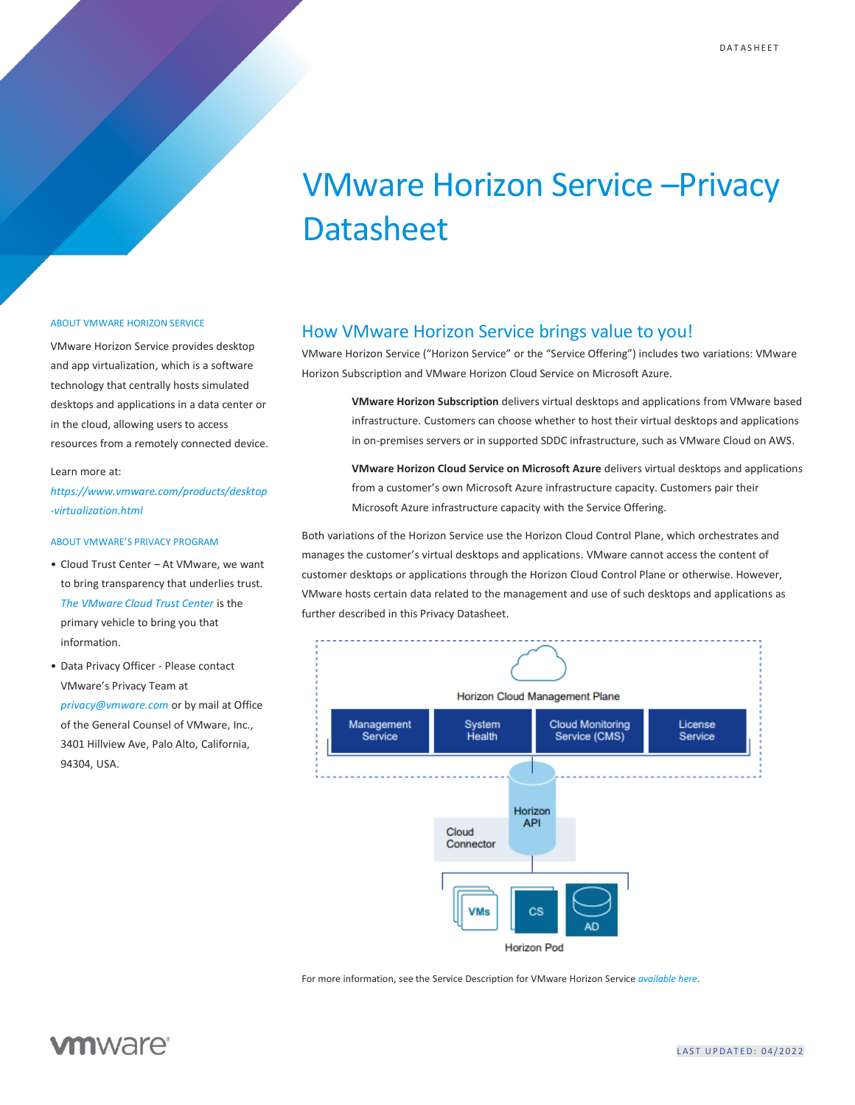# VMware Horizon Service –Privacy **Datasheet**

### ABOUT VMWARE HORIZON SERVICE

VMware Horizon Service provides desktop and app virtualization, which is a software technology that centrally hosts simulated desktops and applications in a data center or in the cloud, allowing users to access resources from a remotely connected device.

### Learn more at:

*[https://www.vmware.com/products/desktop](https://www.vmware.com/products/desktop-virtualization.html) [-virtualization.html](https://www.vmware.com/products/desktop-virtualization.html)*

#### ABOUT VMWARE'S PRIVACY PROGRAM

- Cloud Trust Center At VMware, we want to bring transparency that underlies trust. *[The VMware Cloud Trust Center](https://cloud.vmware.com/trust-center/privacy)* is the primary vehicle to bring you that information.
- Data Privacy Officer Please contact VMware's Privacy Team at *[privacy@vmware.com](mailto:privacy@vmware.com)* or by mail at Office of the General Counsel of VMware, Inc., 3401 Hillview Ave, Palo Alto, California, 94304, USA.

# How VMware Horizon Service brings value to you!

VMware Horizon Service ("Horizon Service" or the "Service Offering") includes two variations: VMware Horizon Subscription and VMware Horizon Cloud Service on Microsoft Azure.

**VMware Horizon Subscription** delivers virtual desktops and applications from VMware based infrastructure. Customers can choose whether to host their virtual desktops and applications in on-premises servers or in supported SDDC infrastructure, such as VMware Cloud on AWS.

**VMware Horizon Cloud Service on Microsoft Azure** delivers virtual desktops and applications from a customer's own Microsoft Azure infrastructure capacity. Customers pair their Microsoft Azure infrastructure capacity with the Service Offering.

Both variations of the Horizon Service use the Horizon Cloud Control Plane, which orchestrates and manages the customer's virtual desktops and applications. VMware cannot access the content of customer desktops or applications through the Horizon Cloud Control Plane or otherwise. However, VMware hosts certain data related to the management and use of such desktops and applications as further described in this Privacy Datasheet.



For more information, see the Service Description for VMware Horizon Service *[available here](https://www.vmware.com/content/dam/digitalmarketing/vmware/en/pdf/downloads/eula/vmw-horizon-service-description.pdf)*.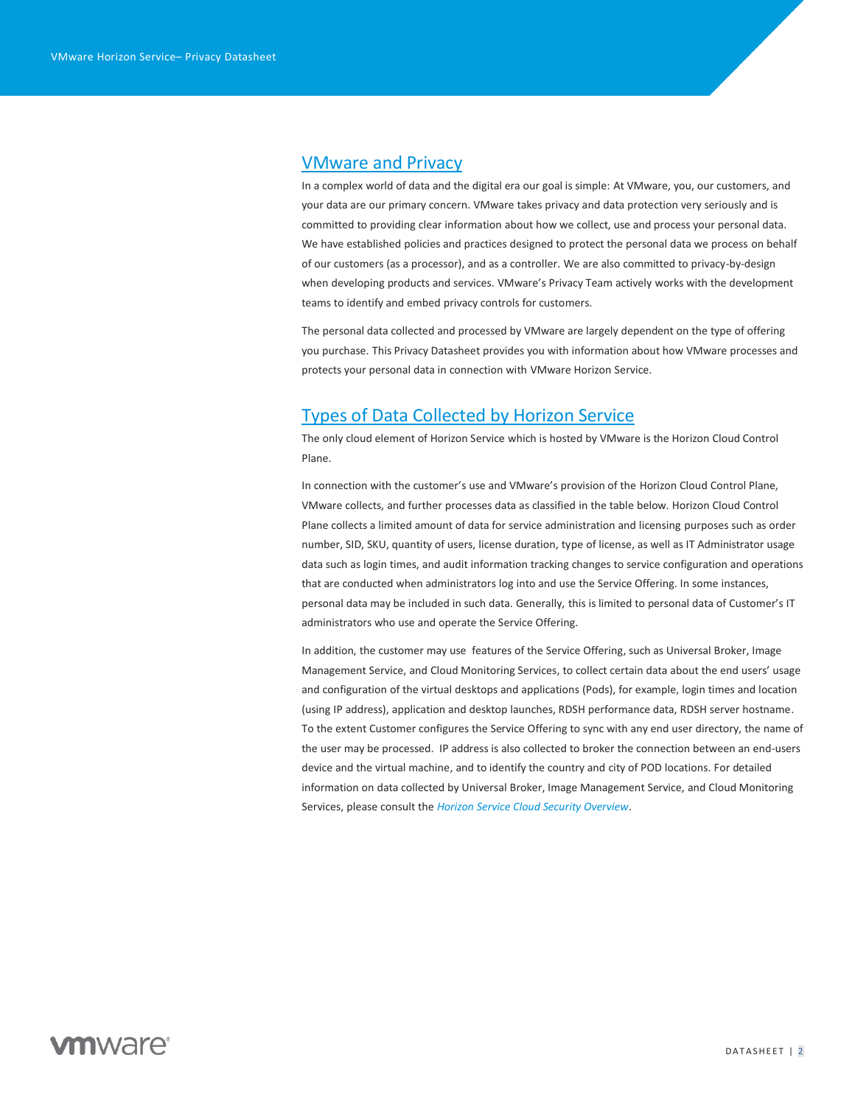# VMware and Privacy

In a complex world of data and the digital era our goal is simple: At VMware, you, our customers, and your data are our primary concern. VMware takes privacy and data protection very seriously and is committed to providing clear information about how we collect, use and process your personal data. We have established policies and practices designed to protect the personal data we process on behalf of our customers (as a processor), and as a controller. We are also committed to privacy-by-design when developing products and services. VMware's Privacy Team actively works with the development teams to identify and embed privacy controls for customers.

The personal data collected and processed by VMware are largely dependent on the type of offering you purchase. This Privacy Datasheet provides you with information about how VMware processes and protects your personal data in connection with VMware Horizon Service.

# Types of Data Collected by Horizon Service

The only cloud element of Horizon Service which is hosted by VMware is the Horizon Cloud Control Plane.

In connection with the customer's use and VMware's provision of the Horizon Cloud Control Plane, VMware collects, and further processes data as classified in the table below. Horizon Cloud Control Plane collects a limited amount of data for service administration and licensing purposes such as order number, SID, SKU, quantity of users, license duration, type of license, as well as IT Administrator usage data such as login times, and audit information tracking changes to service configuration and operations that are conducted when administrators log into and use the Service Offering. In some instances, personal data may be included in such data. Generally, this is limited to personal data of Customer's IT administrators who use and operate the Service Offering.

In addition, the customer may use features of the Service Offering, such as Universal Broker, Image Management Service, and Cloud Monitoring Services, to collect certain data about the end users' usage and configuration of the virtual desktops and applications (Pods), for example, login times and location (using IP address), application and desktop launches, RDSH performance data, RDSH server hostname. To the extent Customer configures the Service Offering to sync with any end user directory, the name of the user may be processed. IP address is also collected to broker the connection between an end-users device and the virtual machine, and to identify the country and city of POD locations. For detailed information on data collected by Universal Broker, Image Management Service, and Cloud Monitoring Services, please consult the *[Horizon Service Cloud Security Overview](https://www.vmware.com/content/dam/digitalmarketing/vmware/en/pdf/products/horizon/vmw-wp-horizon-cloud-microsoft-azure-uslet-white-paper.pdf)*.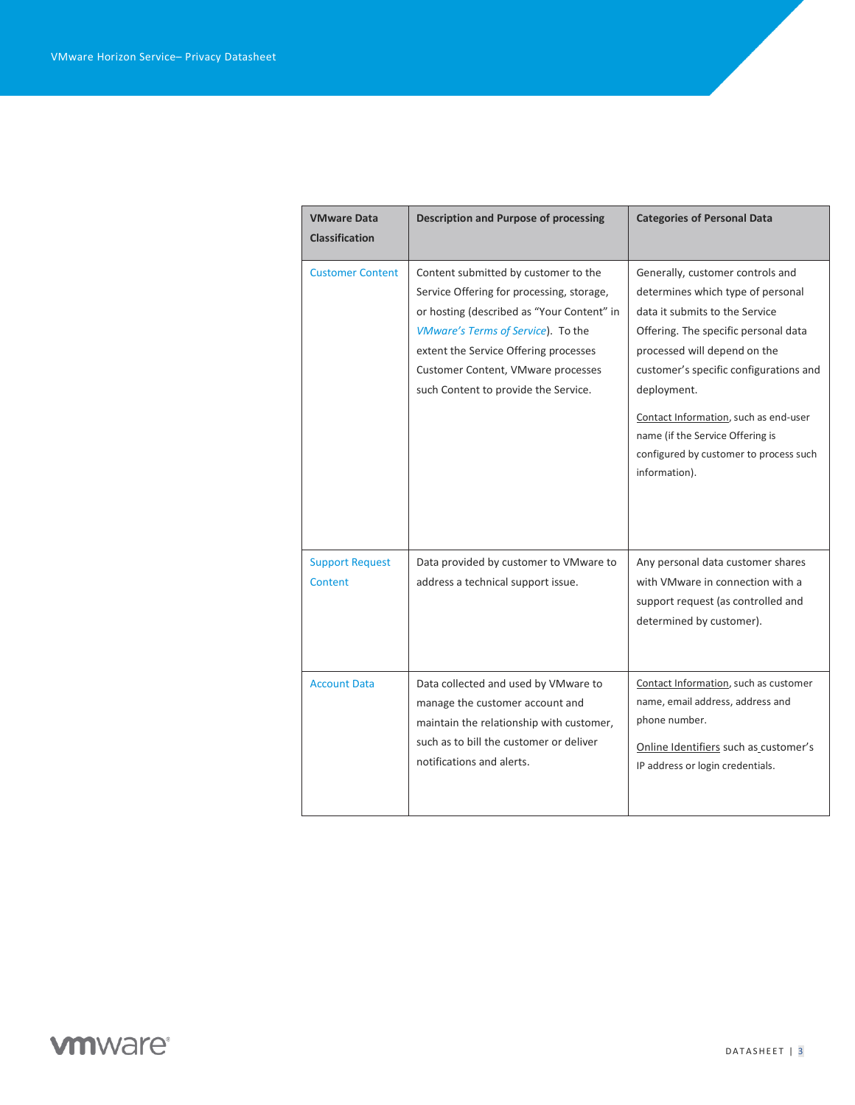| <b>VMware Data</b><br><b>Classification</b> | <b>Description and Purpose of processing</b>                                                                                                                                                                                                                                                 | <b>Categories of Personal Data</b>                                                                                                                                                                                                                                                                                                                                               |
|---------------------------------------------|----------------------------------------------------------------------------------------------------------------------------------------------------------------------------------------------------------------------------------------------------------------------------------------------|----------------------------------------------------------------------------------------------------------------------------------------------------------------------------------------------------------------------------------------------------------------------------------------------------------------------------------------------------------------------------------|
| <b>Customer Content</b>                     | Content submitted by customer to the<br>Service Offering for processing, storage,<br>or hosting (described as "Your Content" in<br>VMware's Terms of Service). To the<br>extent the Service Offering processes<br>Customer Content, VMware processes<br>such Content to provide the Service. | Generally, customer controls and<br>determines which type of personal<br>data it submits to the Service<br>Offering. The specific personal data<br>processed will depend on the<br>customer's specific configurations and<br>deployment.<br>Contact Information, such as end-user<br>name (if the Service Offering is<br>configured by customer to process such<br>information). |
| <b>Support Request</b><br>Content           | Data provided by customer to VMware to<br>address a technical support issue.                                                                                                                                                                                                                 | Any personal data customer shares<br>with VMware in connection with a<br>support request (as controlled and<br>determined by customer).                                                                                                                                                                                                                                          |
| <b>Account Data</b>                         | Data collected and used by VMware to<br>manage the customer account and<br>maintain the relationship with customer,<br>such as to bill the customer or deliver<br>notifications and alerts.                                                                                                  | Contact Information, such as customer<br>name, email address, address and<br>phone number.<br>Online Identifiers such as customer's<br>IP address or login credentials.                                                                                                                                                                                                          |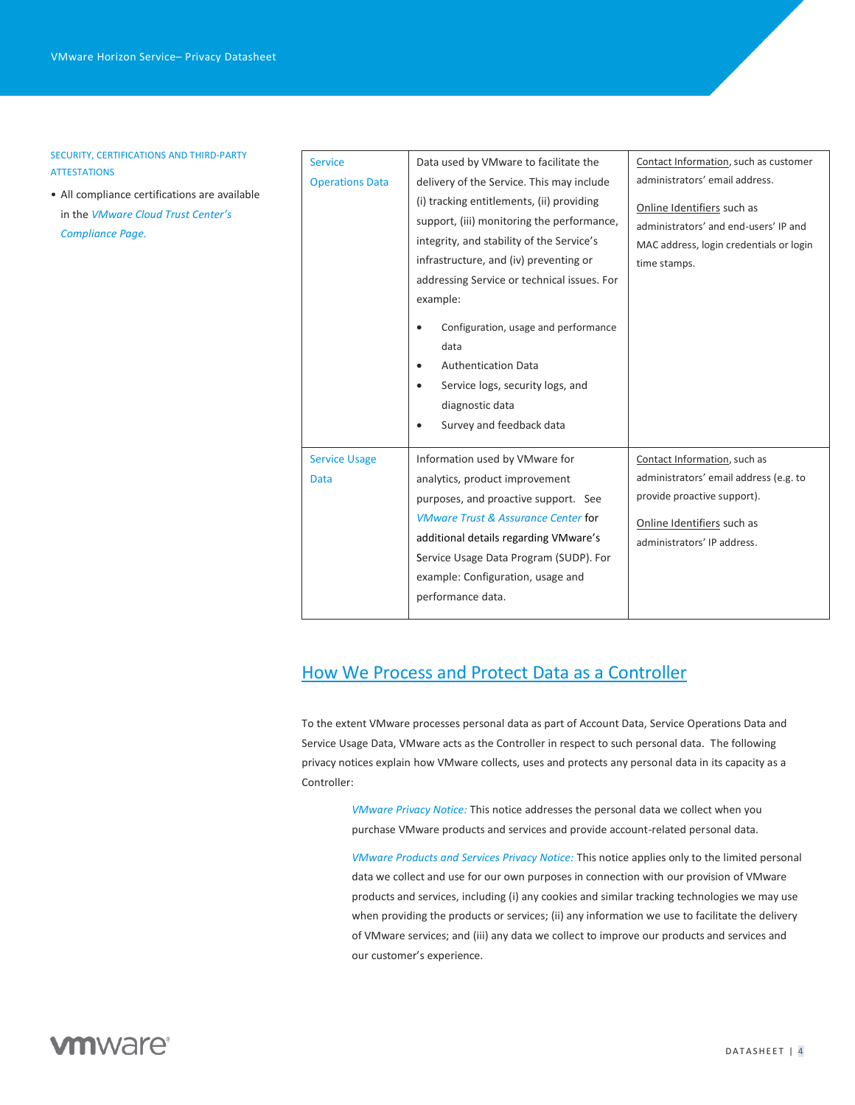SECURITY, CERTIFICATIONS AND THIRD-PARTY ATTESTATIONS

• All compliance certifications are available in the *[VMware Cloud Trust Center's](https://cloud.vmware.com/trust-center/compliance)  [Compliance Page.](https://cloud.vmware.com/trust-center/compliance)*

| Service<br><b>Operations Data</b>   | Data used by VMware to facilitate the<br>delivery of the Service. This may include<br>(i) tracking entitlements, (ii) providing<br>support, (iii) monitoring the performance,<br>integrity, and stability of the Service's<br>infrastructure, and (iv) preventing or<br>addressing Service or technical issues. For<br>example:<br>Configuration, usage and performance<br>data<br><b>Authentication Data</b><br>Service logs, security logs, and<br>diagnostic data<br>Survey and feedback data | Contact Information, such as customer<br>administrators' email address.<br>Online Identifiers such as<br>administrators' and end-users' IP and<br>MAC address, login credentials or login<br>time stamps. |
|-------------------------------------|--------------------------------------------------------------------------------------------------------------------------------------------------------------------------------------------------------------------------------------------------------------------------------------------------------------------------------------------------------------------------------------------------------------------------------------------------------------------------------------------------|-----------------------------------------------------------------------------------------------------------------------------------------------------------------------------------------------------------|
| <b>Service Usage</b><br><b>Data</b> | Information used by VMware for<br>analytics, product improvement<br>purposes, and proactive support. See<br><b>VMware Trust &amp; Assurance Center for</b><br>additional details regarding VMware's<br>Service Usage Data Program (SUDP). For<br>example: Configuration, usage and<br>performance data.                                                                                                                                                                                          | Contact Information, such as<br>administrators' email address (e.g. to<br>provide proactive support).<br>Online Identifiers such as<br>administrators' IP address.                                        |

# How We Process and Protect Data as a Controller

To the extent VMware processes personal data as part of Account Data, Service Operations Data and Service Usage Data, VMware acts as the Controller in respect to such personal data. The following privacy notices explain how VMware collects, uses and protects any personal data in its capacity as a Controller:

> *[VMware Privacy Notice:](https://www.vmware.com/help/privacy.html#privacy-notice)* This notice addresses the personal data we collect when you purchase VMware products and services and provide account-related personal data.

*[VMware Products and Services Privacy Notice:](https://www.vmware.com/help/privacy/products-and-services-notice.html)* This notice applies only to the limited personal data we collect and use for our own purposes in connection with our provision of VMware products and services, including (i) any cookies and similar tracking technologies we may use when providing the products or services; (ii) any information we use to facilitate the delivery of VMware services; and (iii) any data we collect to improve our products and services and our customer's experience.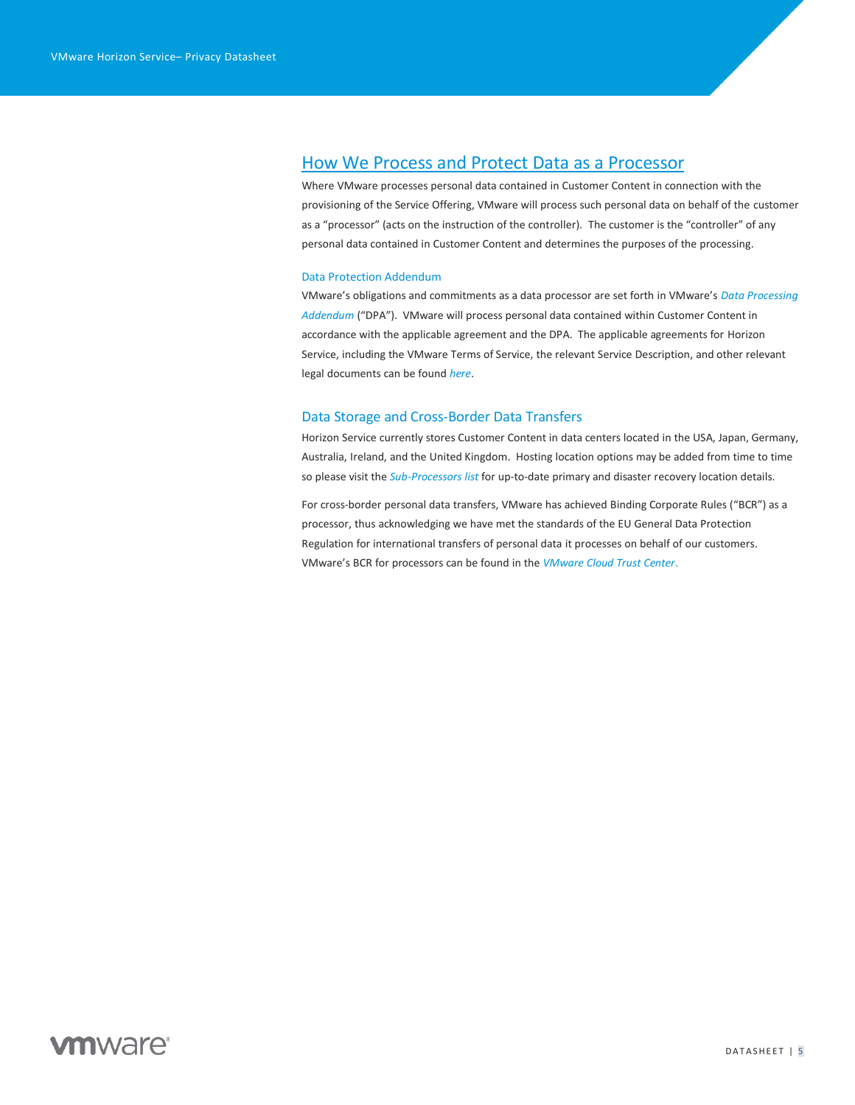# How We Process and Protect Data as a Processor

Where VMware processes personal data contained in Customer Content in connection with the provisioning of the Service Offering, VMware will process such personal data on behalf of the customer as a "processor" (acts on the instruction of the controller). The customer is the "controller" of any personal data contained in Customer Content and determines the purposes of the processing.

#### Data Protection Addendum

VMware's obligations and commitments as a data processor are set forth in VMware's *[Data Processing](https://www.vmware.com/content/dam/digitalmarketing/vmware/en/pdf/downloads/eula/vmware-data-processing-addendum.pdf)  [Addendum](https://www.vmware.com/content/dam/digitalmarketing/vmware/en/pdf/downloads/eula/vmware-data-processing-addendum.pdf)* ("DPA"). VMware will process personal data contained within Customer Content in accordance with the applicable agreement and the DPA. The applicable agreements for Horizon Service, including the VMware Terms of Service, the relevant Service Description, and other relevant legal documents can be found *[here](https://www.vmware.com/download/eula.html)*.

### Data Storage and Cross-Border Data Transfers

Horizon Service currently stores Customer Content in data centers located in the USA, Japan, Germany, Australia, Ireland, and the United Kingdom. Hosting location options may be added from time to time so please visit the *[Sub-Processors list](https://www.vmware.com/download/eula.html)* for up-to-date primary and disaster recovery location details.

For cross-border personal data transfers, VMware has achieved Binding Corporate Rules ("BCR") as a processor, thus acknowledging we have met the standards of the EU General Data Protection Regulation for international transfers of personal data it processes on behalf of our customers. VMware's BCR for processors can be found in the *[VMware Cloud Trust Center](https://cloud.vmware.com/trust-center/privacy)*.